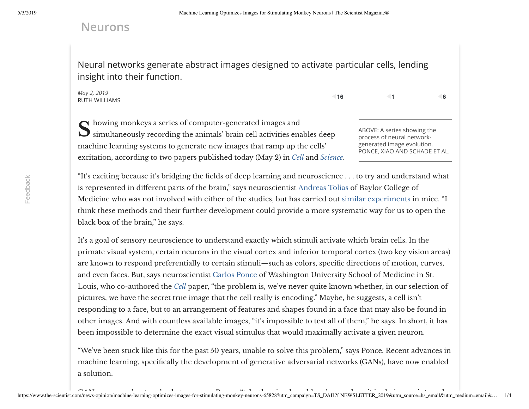## **Neurons**

Neural networks generate abstract images designed to activate particular cells, lending insight into their function.

*May 2, 2019* RUTH WILLIAMS

```
16 1 6
```
Showing monkeys a series of computer-generated images and<br>Simultaneously recording the animals' brain cell activities enables deep and abover a series showing the howing monkeys a series of computer-generated images and machine learning systems to generate new images that ramp up the cells' excitation, according to two papers published today (May 2) in *[Cell](http://dx.doi.org/10.1016/j.cell.2019.04.005)* and *[Science](https://science.sciencemag.org/cgi/doi/10.1126/science.aav9436)*.

process of neural networkgenerated image evolution. PONCE, XIAO AND SCHADE ET AL.

"It's exciting because it's bridging the fields of deep learning and neuroscience . . . to try and understand what is represented in different parts of the brain," says neuroscientist [Andreas](https://toliaslab.org/) Tolias of Baylor College of Medicine who was not involved with either of the studies, but has carried out similar [experiments](https://www.biorxiv.org/content/10.1101/506956v1) in mice. "I think these methods and their further development could provide a more systematic way for us to open the black box of the brain," he says.

It's a goal of sensory neuroscience to understand exactly which stimuli activate which brain cells. In the primate visual system, certain neurons in the visual cortex and inferior temporal cortex (two key vision areas) are known to respond preferentially to certain stimuli—such as colors, specific directions of motion, curves, and even faces. But, says neuroscientist [Carlos](http://neurosci.wustl.edu/People/Faculty/Carlos-Ponce) Ponce of Washington University School of Medicine in St. Louis, who co-authored the *[Cell](http://dx.doi.org/10.1016/j.cell.2019.04.005)* paper, "the problem is, we've never quite known whether, in our selection of pictures, we have the secret true image that the cell really is encoding." Maybe, he suggests, a cell isn't responding to a face, but to an arrangement of features and shapes found in a face that may also be found in other images. And with countless available images, "it's impossible to test all of them," he says. In short, it has been impossible to determine the exact visual stimulus that would maximally activate a given neuron.

"We've been stuck like this for the past 50 years, unable to solve this problem," says Ponce. Recent advances in machine learning, specifically the development of generative adversarial networks (GANs), have now enabled a solution.

Feedback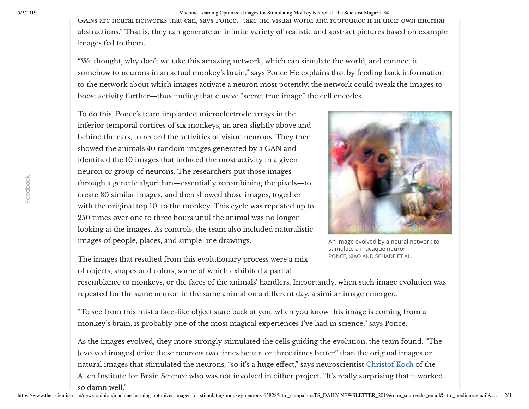5/3/2019 Machine Learning Optimizes Images for Stimulating Monkey Neurons | The Scientist Magazine®

GANs are neural networks that can, says Ponce, "take the visual world and reproduce it in their own internal abstractions." That is, they can generate an infinite variety of realistic and abstract pictures based on example images fed to them.

"We thought, why don't we take this amazing network, which can simulate the world, and connect it somehow to neurons in an actual monkey's brain," says Ponce He explains that by feeding back information to the network about which images activate a neuron most potently, the network could tweak the images to boost activity further—thus finding that elusive "secret true image" the cell encodes.

To do this, Ponce's team implanted microelectrode arrays in the inferior temporal cortices of six monkeys, an area slightly above and behind the ears, to record the activities of vision neurons. They then showed the animals 40 random images generated by a GAN and identified the 10 images that induced the most activity in a given neuron or group of neurons. The researchers put those images through a genetic algorithm—essentially recombining the pixels—to create 30 similar images, and then showed those images, together with the original top 10, to the monkey. This cycle was repeated up to 250 times over one to three hours until the animal was no longer looking at the images. As controls, the team also included naturalistic images of people, places, and simple line drawings.



An image evolved by a neural network to stimulate a macaque neuron PONCE, XIAO AND SCHADE ET AL.

The images that resulted from this evolutionary process were a mix of objects, shapes and colors, some of which exhibited a partial

resemblance to monkeys, or the faces of the animals' handlers. Importantly, when such image evolution was repeated for the same neuron in the same animal on a different day, a similar image emerged.

"To see from this mist a face-like object stare back at you, when you know this image is coming from a monkey's brain, is probably one of the most magical experiences I've had in science," says Ponce.

As the images evolved, they more strongly stimulated the cells guiding the evolution, the team found. "The [evolved images] drive these neurons two times better, or three times better" than the original images or natural images that stimulated the neurons, "so it's a huge effect," says neuroscientist [Christof](https://www.alleninstitute.org/what-we-do/brain-science/about/team/staff-profiles/christof-koch/) Koch of the Allen Institute for Brain Science who was not involved in either project. "It's really surprising that it worked so damn well."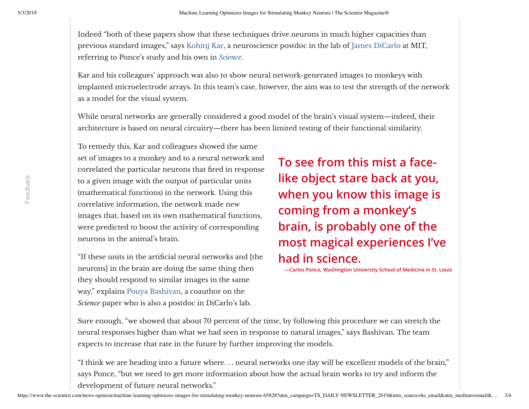Indeed "both of these papers show that these techniques drive neurons in much higher capacities than previous standard images," says [Kohitij](https://www.linkedin.com/in/kohitij/) Kar, a neuroscience postdoc in the lab of James [DiCarlo](https://mcgovern.mit.edu/profile/james-dicarlo/) at MIT, referring to Ponce's study and his own in *[Science](https://science.sciencemag.org/cgi/doi/10.1126/science.aav9436)*.

Kar and his colleagues' approach was also to show neural network-generated images to monkeys with implanted microelectrode arrays. In this team's case, however, the aim was to test the strength of the network as a model for the visual system.

While neural networks are generally considered a good model of the brain's visual system—indeed, their architecture is based on neural circuitry—there has been limited testing of their functional similarity.

To remedy this, Kar and colleagues showed the same set of images to a monkey and to a neural network and correlated the particular neurons that fired in response to a given image with the output of particular units (mathematical functions) in the network. Using this correlative information, the network made new images that, based on its own mathematical functions, were predicted to boost the activity of corresponding neurons in the animal's brain.

"If these units in the artificial neural networks and [the neurons] in the brain are doing the same thing then they should respond to similar images in the same way," explains Pouya [Bashivan](https://www.linkedin.com/in/pbashivan/), a coauthor on the *Science* paper who is also a postdoc in DiCarlo's lab.

**To see from this mist a facelike object stare back at you, when you know this image is coming from a monkey's brain, is probably one of the most magical experiences I've had in science.**

**—Carlos Ponce, Washington University School of Medicine in St. Louis**

Sure enough, "we showed that about 70 percent of the time, by following this procedure we can stretch the neural responses higher than what we had seen in response to natural images," says Bashivan. The team expects to increase that rate in the future by further improving the models.

"I think we are heading into a future where. . . neural networks one day will be excellent models of the brain," says Ponce, "but we need to get more information about how the actual brain works to try and inform the development of future neural networks."